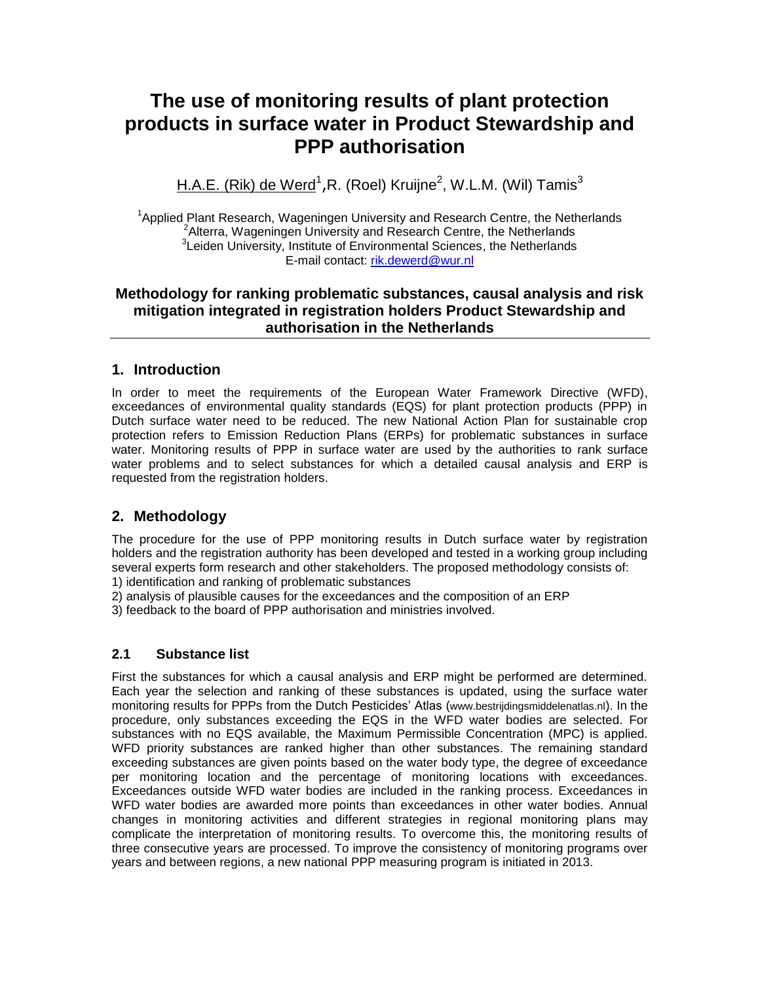# **The use of monitoring results of plant protection products in surface water in Product Stewardship and PPP authorisation**

<u>H.A.E. (Rik) de Werd</u><sup>1</sup>,R. (Roel) Kruijne<sup>2</sup>, W.L.M. (Wil) Tamis<sup>3</sup>

<sup>1</sup>Applied Plant Research, Wageningen University and Research Centre, the Netherlands <sup>2</sup> Alterra, Wageningen University and Research Centre, the Netherlands <sup>3</sup>Leiden University, Institute of Environmental Sciences, the Netherlands E-mail contact: [rik.dewerd@wur.nl](mailto:rik.dewerd@wur.nl)

## **Methodology for ranking problematic substances, causal analysis and risk mitigation integrated in registration holders Product Stewardship and authorisation in the Netherlands**

#### **1. Introduction**

In order to meet the requirements of the European Water Framework Directive (WFD), exceedances of environmental quality standards (EQS) for plant protection products (PPP) in Dutch surface water need to be reduced. The new National Action Plan for sustainable crop protection refers to Emission Reduction Plans (ERPs) for problematic substances in surface water. Monitoring results of PPP in surface water are used by the authorities to rank surface water problems and to select substances for which a detailed causal analysis and ERP is requested from the registration holders.

## **2. Methodology**

The procedure for the use of PPP monitoring results in Dutch surface water by registration holders and the registration authority has been developed and tested in a working group including several experts form research and other stakeholders. The proposed methodology consists of:

1) identification and ranking of problematic substances

2) analysis of plausible causes for the exceedances and the composition of an ERP

3) feedback to the board of PPP authorisation and ministries involved.

#### **2.1 Substance list**

First the substances for which a causal analysis and ERP might be performed are determined. Each year the selection and ranking of these substances is updated, using the surface water monitoring results for PPPs from the Dutch Pesticides' Atlas ([www.bestrijdingsmiddelenatlas.nl](http://www.bestrijdingsmiddelenatlas.nl/)). In the procedure, only substances exceeding the EQS in the WFD water bodies are selected. For substances with no EQS available, the Maximum Permissible Concentration (MPC) is applied. WFD priority substances are ranked higher than other substances. The remaining standard exceeding substances are given points based on the water body type, the degree of exceedance per monitoring location and the percentage of monitoring locations with exceedances. Exceedances outside WFD water bodies are included in the ranking process. Exceedances in WFD water bodies are awarded more points than exceedances in other water bodies. Annual changes in monitoring activities and different strategies in regional monitoring plans may complicate the interpretation of monitoring results. To overcome this, the monitoring results of three consecutive years are processed. To improve the consistency of monitoring programs over years and between regions, a new national PPP measuring program is initiated in 2013.